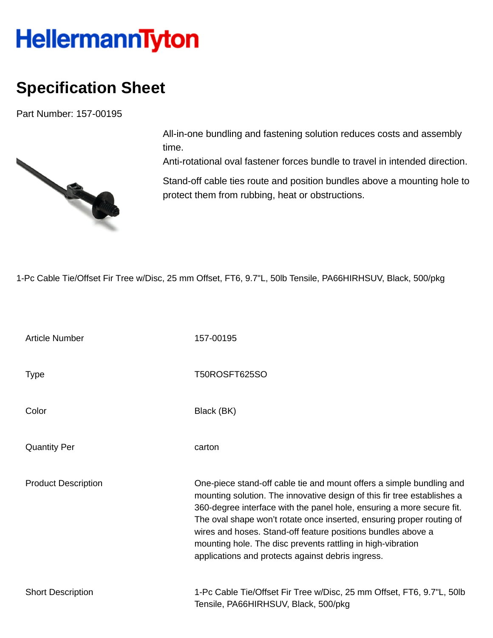## **HellermannTyton**

## **Specification Sheet**

Part Number: 157-00195



All-in-one bundling and fastening solution reduces costs and assembly time.

Anti-rotational oval fastener forces bundle to travel in intended direction.

Stand-off cable ties route and position bundles above a mounting hole to protect them from rubbing, heat or obstructions.

1-Pc Cable Tie/Offset Fir Tree w/Disc, 25 mm Offset, FT6, 9.7"L, 50lb Tensile, PA66HIRHSUV, Black, 500/pkg

| <b>Article Number</b>      | 157-00195                                                                                                                                                                                                                                                                                                                                                                                                                                                                             |
|----------------------------|---------------------------------------------------------------------------------------------------------------------------------------------------------------------------------------------------------------------------------------------------------------------------------------------------------------------------------------------------------------------------------------------------------------------------------------------------------------------------------------|
| <b>Type</b>                | T50ROSFT625SO                                                                                                                                                                                                                                                                                                                                                                                                                                                                         |
| Color                      | Black (BK)                                                                                                                                                                                                                                                                                                                                                                                                                                                                            |
| <b>Quantity Per</b>        | carton                                                                                                                                                                                                                                                                                                                                                                                                                                                                                |
| <b>Product Description</b> | One-piece stand-off cable tie and mount offers a simple bundling and<br>mounting solution. The innovative design of this fir tree establishes a<br>360-degree interface with the panel hole, ensuring a more secure fit.<br>The oval shape won't rotate once inserted, ensuring proper routing of<br>wires and hoses. Stand-off feature positions bundles above a<br>mounting hole. The disc prevents rattling in high-vibration<br>applications and protects against debris ingress. |
| <b>Short Description</b>   | 1-Pc Cable Tie/Offset Fir Tree w/Disc, 25 mm Offset, FT6, 9.7"L, 50lb<br>Tensile, PA66HIRHSUV, Black, 500/pkg                                                                                                                                                                                                                                                                                                                                                                         |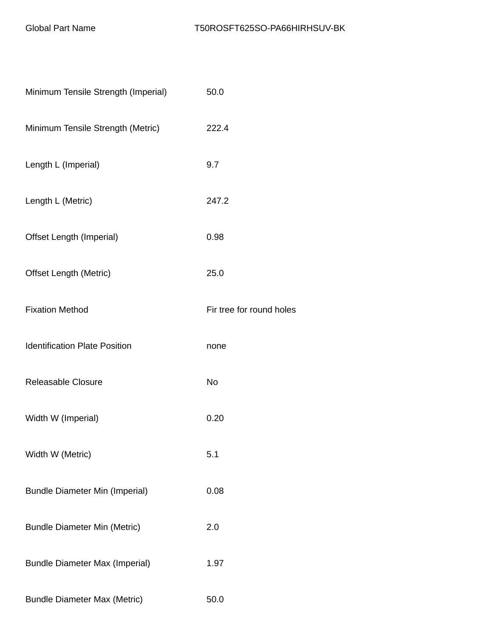| Minimum Tensile Strength (Imperial)   | 50.0                     |
|---------------------------------------|--------------------------|
| Minimum Tensile Strength (Metric)     | 222.4                    |
| Length L (Imperial)                   | 9.7                      |
| Length L (Metric)                     | 247.2                    |
| Offset Length (Imperial)              | 0.98                     |
| <b>Offset Length (Metric)</b>         | 25.0                     |
| <b>Fixation Method</b>                | Fir tree for round holes |
| <b>Identification Plate Position</b>  | none                     |
| <b>Releasable Closure</b>             | <b>No</b>                |
| Width W (Imperial)                    | 0.20                     |
| Width W (Metric)                      | 5.1                      |
| <b>Bundle Diameter Min (Imperial)</b> | 0.08                     |
| <b>Bundle Diameter Min (Metric)</b>   | 2.0                      |
| <b>Bundle Diameter Max (Imperial)</b> | 1.97                     |
| <b>Bundle Diameter Max (Metric)</b>   | 50.0                     |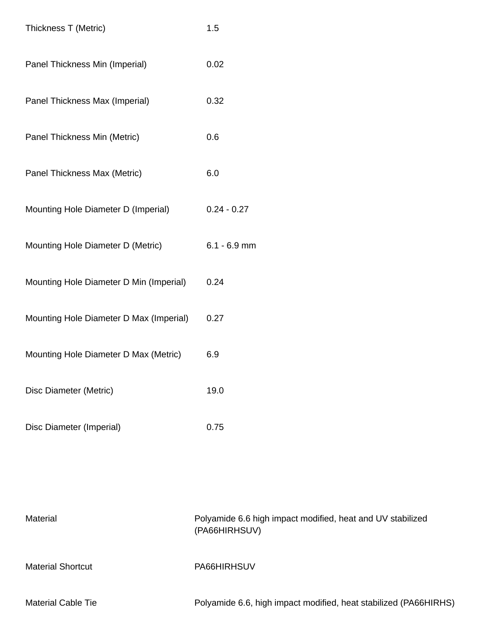| Thickness T (Metric)                    | 1.5            |
|-----------------------------------------|----------------|
| Panel Thickness Min (Imperial)          | 0.02           |
| Panel Thickness Max (Imperial)          | 0.32           |
| Panel Thickness Min (Metric)            | 0.6            |
| Panel Thickness Max (Metric)            | 6.0            |
| Mounting Hole Diameter D (Imperial)     | $0.24 - 0.27$  |
| Mounting Hole Diameter D (Metric)       | $6.1 - 6.9$ mm |
| Mounting Hole Diameter D Min (Imperial) | 0.24           |
| Mounting Hole Diameter D Max (Imperial) | 0.27           |
| Mounting Hole Diameter D Max (Metric)   | 6.9            |
| Disc Diameter (Metric)                  | 19.0           |
| Disc Diameter (Imperial)                | 0.75           |

| Material                  | Polyamide 6.6 high impact modified, heat and UV stabilized<br>(PA66HIRHSUV) |
|---------------------------|-----------------------------------------------------------------------------|
| <b>Material Shortcut</b>  | PA66HIRHSUV                                                                 |
| <b>Material Cable Tie</b> | Polyamide 6.6, high impact modified, heat stabilized (PA66HIRHS)            |